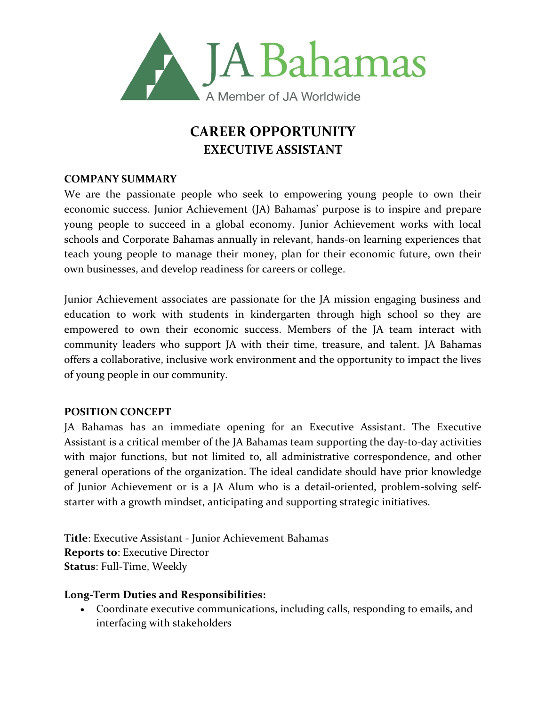

# **CAREER OPPORTUNITY EXECUTIVE ASSISTANT**

### **COMPANY SUMMARY**

We are the passionate people who seek to empowering young people to own their economic success. Junior Achievement (JA) Bahamas' purpose is to inspire and prepare young people to succeed in a global economy. Junior Achievement works with local schools and Corporate Bahamas annually in relevant, hands-on learning experiences that teach young people to manage their money, plan for their economic future, own their own businesses, and develop readiness for careers or college.

Junior Achievement associates are passionate for the JA mission engaging business and education to work with students in kindergarten through high school so they are empowered to own their economic success. Members of the JA team interact with community leaders who support JA with their time, treasure, and talent. JA Bahamas offers a collaborative, inclusive work environment and the opportunity to impact the lives of young people in our community.

### **POSITION CONCEPT**

JA Bahamas has an immediate opening for an Executive Assistant. The Executive Assistant is a critical member of the JA Bahamas team supporting the day-to-day activities with major functions, but not limited to, all administrative correspondence, and other general operations of the organization. The ideal candidate should have prior knowledge of Junior Achievement or is a JA Alum who is a detail-oriented, problem-solving selfstarter with a growth mindset, anticipating and supporting strategic initiatives.

**Title**: Executive Assistant - Junior Achievement Bahamas **Reports to**: Executive Director **Status**: Full-Time, Weekly

### **Long-Term Duties and Responsibilities:**

• Coordinate executive communications, including calls, responding to emails, and interfacing with stakeholders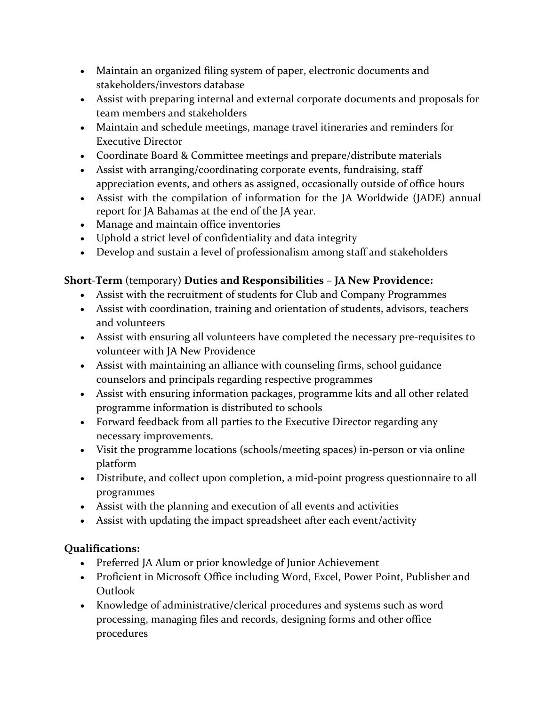- Maintain an organized filing system of paper, electronic documents and stakeholders/investors database
- Assist with preparing internal and external corporate documents and proposals for team members and stakeholders
- Maintain and schedule meetings, manage travel itineraries and reminders for Executive Director
- Coordinate Board & Committee meetings and prepare/distribute materials
- Assist with arranging/coordinating corporate events, fundraising, staff appreciation events, and others as assigned, occasionally outside of office hours
- Assist with the compilation of information for the JA Worldwide (JADE) annual report for JA Bahamas at the end of the JA year.
- Manage and maintain office inventories
- Uphold a strict level of confidentiality and data integrity
- Develop and sustain a level of professionalism among staff and stakeholders

## **Short-Term** (temporary) **Duties and Responsibilities – JA New Providence:**

- Assist with the recruitment of students for Club and Company Programmes
- Assist with coordination, training and orientation of students, advisors, teachers and volunteers
- Assist with ensuring all volunteers have completed the necessary pre-requisites to volunteer with JA New Providence
- Assist with maintaining an alliance with counseling firms, school guidance counselors and principals regarding respective programmes
- Assist with ensuring information packages, programme kits and all other related programme information is distributed to schools
- Forward feedback from all parties to the Executive Director regarding any necessary improvements.
- Visit the programme locations (schools/meeting spaces) in-person or via online platform
- Distribute, and collect upon completion, a mid-point progress questionnaire to all programmes
- Assist with the planning and execution of all events and activities
- Assist with updating the impact spreadsheet after each event/activity

## **Qualifications:**

- Preferred JA Alum or prior knowledge of Junior Achievement
- Proficient in Microsoft Office including Word, Excel, Power Point, Publisher and Outlook
- Knowledge of administrative/clerical procedures and systems such as word processing, managing files and records, designing forms and other office procedures